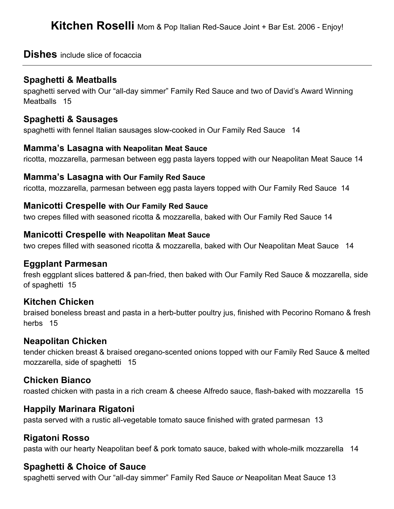## **Dishes** include slice of focaccia

## **Spaghetti & Meatballs**

spaghetti served with Our "all-day simmer" Family Red Sauce and two of David's Award Winning Meatballs 15

### **Spaghetti & Sausages**

spaghetti with fennel Italian sausages slow-cooked in Our Family Red Sauce 14

#### **Mamma's Lasagna with Neapolitan Meat Sauce**

ricotta, mozzarella, parmesan between egg pasta layers topped with our Neapolitan Meat Sauce 14

#### **Mamma's Lasagna with Our Family Red Sauce**

ricotta, mozzarella, parmesan between egg pasta layers topped with Our Family Red Sauce 14

#### **Manicotti Crespelle with Our Family Red Sauce**

two crepes filled with seasoned ricotta & mozzarella, baked with Our Family Red Sauce 14

#### **Manicotti Crespelle with Neapolitan Meat Sauce**

two crepes filled with seasoned ricotta & mozzarella, baked with Our Neapolitan Meat Sauce 14

### **Eggplant Parmesan**

fresh eggplant slices battered & pan-fried, then baked with Our Family Red Sauce & mozzarella, side of spaghetti 15

## **Kitchen Chicken**

braised boneless breast and pasta in a herb-butter poultry jus, finished with Pecorino Romano & fresh herbs 15

### **Neapolitan Chicken**

tender chicken breast & braised oregano-scented onions topped with our Family Red Sauce & melted mozzarella, side of spaghetti 15

### **Chicken Bianco**

roasted chicken with pasta in a rich cream & cheese Alfredo sauce, flash-baked with mozzarella 15

## **Happily Marinara Rigatoni**

pasta served with a rustic all-vegetable tomato sauce finished with grated parmesan 13

## **Rigatoni Rosso**

pasta with our hearty Neapolitan beef & pork tomato sauce, baked with whole-milk mozzarella 14

## **Spaghetti & Choice of Sauce**

spaghetti served with Our "all-day simmer" Family Red Sauce *or* Neapolitan Meat Sauce 13